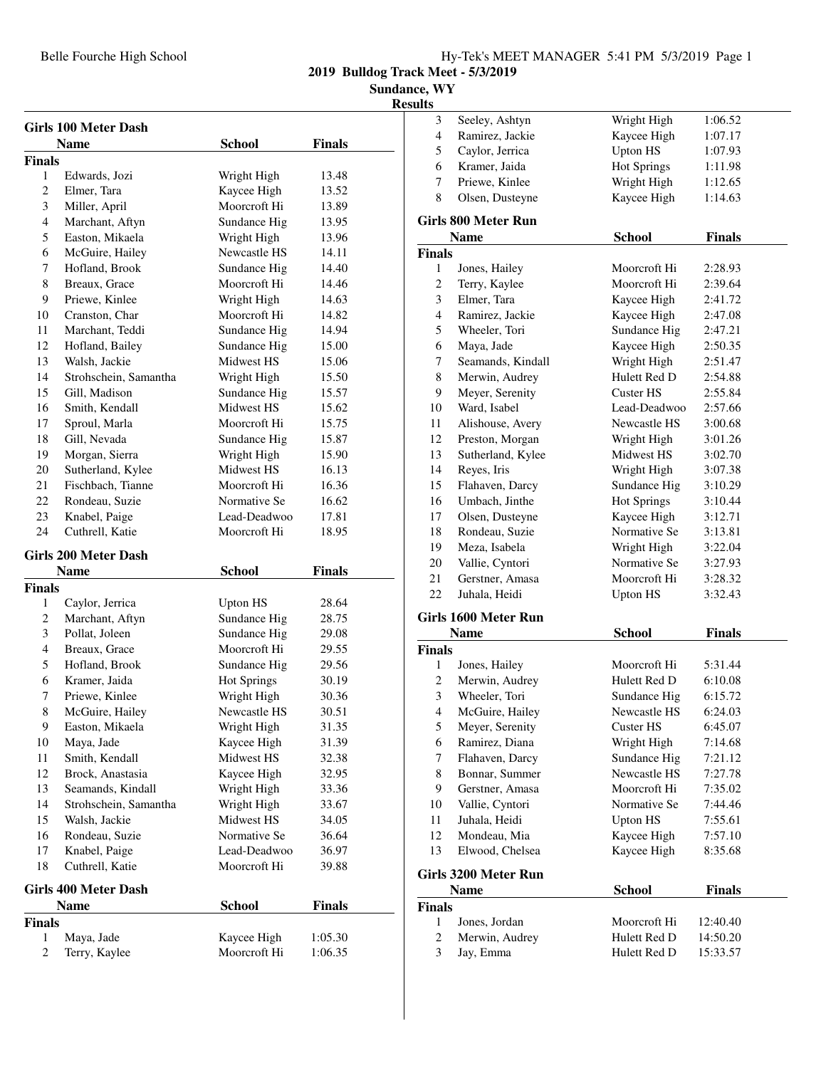**Sundance, WY**

**Resu** 

 $\overline{\phantom{0}}$ 

|                    | <b>Girls 100 Meter Dash</b>        |                              |                    |  |
|--------------------|------------------------------------|------------------------------|--------------------|--|
|                    | <b>Name</b>                        | <b>School</b>                | <b>Finals</b>      |  |
| <b>Finals</b>      |                                    |                              |                    |  |
| $\mathbf{1}$       | Edwards, Jozi                      | Wright High                  | 13.48              |  |
| 2                  | Elmer, Tara                        | Kaycee High                  | 13.52              |  |
| 3                  | Miller, April                      | Moorcroft Hi                 | 13.89              |  |
| 4                  | Marchant, Aftyn                    | Sundance Hig                 | 13.95              |  |
| 5                  | Easton, Mikaela                    | Wright High                  | 13.96              |  |
| 6                  | McGuire, Hailey                    | Newcastle HS                 | 14.11              |  |
| 7                  | Hofland, Brook                     | Sundance Hig                 | 14.40              |  |
| 8                  | Breaux, Grace                      | Moorcroft Hi                 | 14.46              |  |
| 9                  | Priewe, Kinlee                     | Wright High                  | 14.63              |  |
| 10                 | Cranston, Char                     | Moorcroft Hi                 | 14.82              |  |
| 11                 | Marchant, Teddi                    | Sundance Hig                 | 14.94              |  |
| 12                 | Hofland, Bailey                    | Sundance Hig                 | 15.00              |  |
| 13                 | Walsh, Jackie                      | Midwest HS                   | 15.06              |  |
| 14                 | Strohschein, Samantha              | Wright High                  | 15.50              |  |
| 15                 | Gill, Madison                      | Sundance Hig                 | 15.57              |  |
| 16                 | Smith, Kendall                     | Midwest HS                   | 15.62              |  |
| 17                 | Sproul, Marla                      | Moorcroft Hi                 | 15.75              |  |
| 18                 | Gill, Nevada                       | Sundance Hig                 | 15.87              |  |
| 19                 | Morgan, Sierra                     | Wright High                  | 15.90              |  |
| 20                 | Sutherland, Kylee                  | Midwest HS                   | 16.13              |  |
| 21                 | Fischbach, Tianne                  | Moorcroft Hi                 | 16.36              |  |
| 22                 | Rondeau, Suzie                     | Normative Se                 | 16.62              |  |
| 23                 | Knabel, Paige                      | Lead-Deadwoo                 | 17.81              |  |
| 24                 | Cuthrell, Katie                    | Moorcroft Hi                 | 18.95              |  |
|                    |                                    |                              |                    |  |
|                    |                                    |                              |                    |  |
|                    | <b>Girls 200 Meter Dash</b>        |                              |                    |  |
|                    | <b>Name</b>                        | <b>School</b>                | <b>Finals</b>      |  |
| <b>Finals</b><br>1 |                                    |                              |                    |  |
|                    | Caylor, Jerrica                    | <b>Upton HS</b>              | 28.64              |  |
| 2                  | Marchant, Aftyn                    | Sundance Hig                 | 28.75              |  |
| 3<br>4             | Pollat, Joleen                     | Sundance Hig<br>Moorcroft Hi | 29.08              |  |
|                    | Breaux, Grace<br>Hofland, Brook    |                              | 29.55              |  |
| 5<br>6             |                                    | Sundance Hig                 | 29.56              |  |
| 7                  | Kramer, Jaida                      | <b>Hot Springs</b>           | 30.19              |  |
| 8                  | Priewe, Kinlee                     | Wright High<br>Newcastle HS  | 30.36<br>30.51     |  |
|                    | McGuire, Hailey                    |                              |                    |  |
| 9                  | Easton, Mikaela                    | Wright High                  | 31.35              |  |
| 10                 | Maya, Jade                         | Kaycee High                  | 31.39              |  |
| 11<br>12           | Smith, Kendall<br>Brock, Anastasia | Midwest HS                   | 32.38<br>32.95     |  |
|                    |                                    | Kaycee High                  |                    |  |
| 13<br>14           | Seamands, Kindall                  | Wright High                  | 33.36              |  |
| 15                 | Strohschein, Samantha              | Wright High<br>Midwest HS    | 33.67<br>34.05     |  |
| 16                 | Walsh, Jackie<br>Rondeau, Suzie    | Normative Se                 | 36.64              |  |
| 17                 |                                    | Lead-Deadwoo                 |                    |  |
| 18                 | Knabel, Paige<br>Cuthrell, Katie   | Moorcroft Hi                 | 36.97<br>39.88     |  |
|                    |                                    |                              |                    |  |
|                    | <b>Girls 400 Meter Dash</b>        |                              |                    |  |
|                    | Name                               | <b>School</b>                | <b>Finals</b>      |  |
| <b>Finals</b>      |                                    |                              |                    |  |
| 1<br>2             | Maya, Jade<br>Terry, Kaylee        | Kaycee High<br>Moorcroft Hi  | 1:05.30<br>1:06.35 |  |

| ılts               |                                   |                    |                    |
|--------------------|-----------------------------------|--------------------|--------------------|
| 3                  | Seeley, Ashtyn                    | Wright High        | 1:06.52            |
| 4                  | Ramirez, Jackie                   | Kaycee High        | 1:07.17            |
| 5                  | Caylor, Jerrica                   | <b>Upton HS</b>    | 1:07.93            |
| 6                  | Kramer, Jaida                     | <b>Hot Springs</b> | 1:11.98            |
| 7                  | Priewe, Kinlee                    | Wright High        | 1:12.65            |
| 8                  | Olsen, Dusteyne                   | Kaycee High        | 1:14.63            |
|                    | <b>Girls 800 Meter Run</b>        |                    |                    |
|                    | <b>Name</b>                       | <b>School</b>      | <b>Finals</b>      |
|                    |                                   |                    |                    |
| <b>Finals</b><br>1 | Jones, Hailey                     | Moorcroft Hi       | 2:28.93            |
| $\mathbf{2}$       | Terry, Kaylee                     | Moorcroft Hi       | 2:39.64            |
| 3                  | Elmer, Tara                       | Kaycee High        | 2:41.72            |
| 4                  | Ramirez, Jackie                   | Kaycee High        | 2:47.08            |
| 5                  | Wheeler, Tori                     | Sundance Hig       |                    |
| 6                  |                                   | Kaycee High        | 2:47.21<br>2:50.35 |
| 7                  | Maya, Jade<br>Seamands, Kindall   | Wright High        | 2:51.47            |
|                    |                                   | Hulett Red D       |                    |
| 8<br>9             | Merwin, Audrey<br>Meyer, Serenity | Custer HS          | 2:54.88<br>2:55.84 |
| 10                 | Ward, Isabel                      | Lead-Deadwoo       | 2:57.66            |
| 11                 | Alishouse, Avery                  | Newcastle HS       | 3:00.68            |
| 12                 | Preston, Morgan                   | Wright High        | 3:01.26            |
| 13                 | Sutherland, Kylee                 | Midwest HS         | 3:02.70            |
| 14                 | Reyes, Iris                       | Wright High        | 3:07.38            |
| 15                 | Flahaven, Darcy                   | Sundance Hig       | 3:10.29            |
| 16                 | Umbach, Jinthe                    | <b>Hot Springs</b> | 3:10.44            |
| 17                 | Olsen, Dusteyne                   | Kaycee High        | 3:12.71            |
| 18                 | Rondeau, Suzie                    | Normative Se       | 3:13.81            |
| 19                 | Meza, Isabela                     | Wright High        | 3:22.04            |
| 20                 | Vallie, Cyntori                   | Normative Se       | 3:27.93            |
| 21                 | Gerstner, Amasa                   | Moorcroft Hi       | 3:28.32            |
| 22                 | Juhala, Heidi                     | <b>Upton HS</b>    | 3:32.43            |
|                    |                                   |                    |                    |
|                    | Girls 1600 Meter Run              |                    |                    |
|                    | <b>Name</b>                       | <b>School</b>      | <b>Finals</b>      |
| Finals             |                                   |                    |                    |
| 1                  | Jones, Hailey                     | Moorcroft Hi       | 5:31.44            |
| 2                  | Merwin, Audrey                    | Hulett Red D       | 6:10.08            |
| 3                  | Wheeler, Tori                     | Sundance Hig       | 6:15.72            |
| 4                  | McGuire, Hailey                   | Newcastle HS       | 6:24.03            |
| 5                  | Meyer, Serenity                   | <b>Custer HS</b>   | 6:45.07            |
| 6                  | Ramirez, Diana                    | Wright High        | 7:14.68            |
| 7                  | Flahaven, Darcy                   | Sundance Hig       | 7:21.12            |
| 8                  | Bonnar, Summer                    | Newcastle HS       | 7:27.78            |
| 9                  | Gerstner, Amasa                   | Moorcroft Hi       | 7:35.02            |
| 10                 | Vallie, Cyntori                   | Normative Se       | 7:44.46            |
| 11                 | Juhala, Heidi                     | <b>Upton HS</b>    | 7:55.61            |
| 12                 | Mondeau, Mia                      | Kaycee High        | 7:57.10            |
| 13                 | Elwood, Chelsea                   | Kaycee High        | 8:35.68            |
|                    | Girls 3200 Meter Run              |                    |                    |
|                    | <b>Name</b>                       | <b>School</b>      | <b>Finals</b>      |
| Finals             |                                   |                    |                    |
| 1                  | Jones, Jordan                     | Moorcroft Hi       | 12:40.40           |
| 2                  | Merwin, Audrey                    | Hulett Red D       | 14:50.20           |
| 3                  | Jay, Emma                         | Hulett Red D       | 15:33.57           |
|                    |                                   |                    |                    |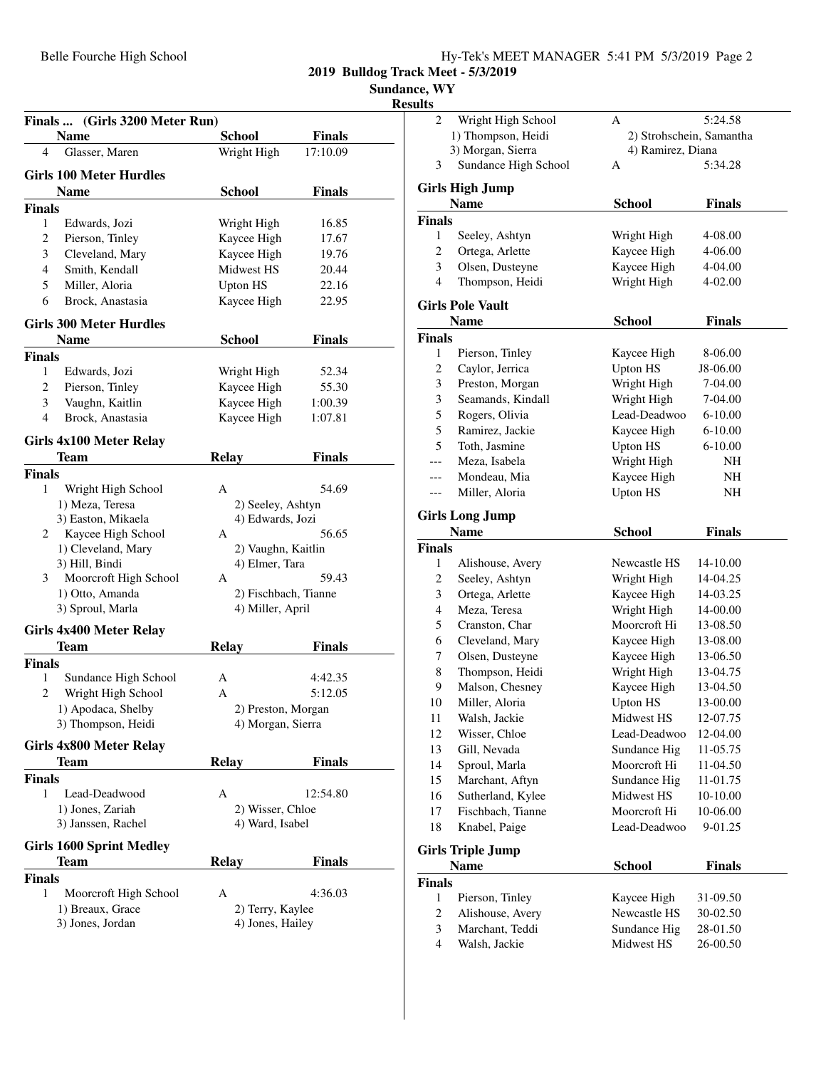| Hy-Tek's MEET MANAGER 5:41 PM 5/3/2019 Page 2 |  |  |
|-----------------------------------------------|--|--|
|                                               |  |  |

**Sundance, WY**

| Finals  (Girls 3200 Meter Run)<br>Name  | School                                   | Finals         |
|-----------------------------------------|------------------------------------------|----------------|
| Glasser, Maren<br>4                     | Wright High                              | 17:10.09       |
|                                         |                                          |                |
| <b>Girls 100 Meter Hurdles</b>          |                                          |                |
| <b>Name</b>                             | <b>School</b>                            | <b>Finals</b>  |
| <b>Finals</b>                           |                                          |                |
| 1<br>Edwards, Jozi<br>$\overline{c}$    | Wright High<br>Kaycee High               | 16.85          |
| Pierson, Tinley<br>3<br>Cleveland, Mary | Kaycee High                              | 17.67          |
| Smith, Kendall<br>4                     | Midwest HS                               | 19.76<br>20.44 |
| 5<br>Miller, Aloria                     | <b>Upton HS</b>                          | 22.16          |
| Brock. Anastasia<br>6                   | Kaycee High                              | 22.95          |
|                                         |                                          |                |
| <b>Girls 300 Meter Hurdles</b>          |                                          |                |
| <b>Name</b>                             | <b>School</b>                            | Finals         |
| <b>Finals</b>                           |                                          |                |
| 1<br>Edwards, Jozi                      | Wright High                              | 52.34          |
| $\overline{c}$<br>Pierson, Tinley       | Kaycee High                              | 55.30          |
| 3<br>Vaughn, Kaitlin                    | Kaycee High                              | 1:00.39        |
| $\overline{4}$<br>Brock, Anastasia      | Kaycee High                              | 1:07.81        |
| Girls 4x100 Meter Relay                 |                                          |                |
| <b>Team</b>                             | <b>Relay</b>                             | Finals         |
| <b>Finals</b>                           |                                          |                |
| 1<br>Wright High School                 | A                                        | 54.69          |
| 1) Meza, Teresa                         | 2) Seeley, Ashtyn                        |                |
| 3) Easton, Mikaela                      | 4) Edwards, Jozi                         |                |
| Kaycee High School<br>2                 | A                                        | 56.65          |
| 1) Cleveland, Mary                      | 2) Vaughn, Kaitlin                       |                |
| 3) Hill, Bindi                          | 4) Elmer, Tara                           |                |
| Moorcroft High School<br>3              | А                                        | 59.43          |
| 1) Otto, Amanda<br>3) Sproul, Marla     | 2) Fischbach, Tianne<br>4) Miller, April |                |
|                                         |                                          |                |
| <b>Girls 4x400 Meter Relay</b>          |                                          |                |
| Team                                    | <b>Relay</b>                             | Finals         |
| <b>Finals</b>                           |                                          |                |
| 1<br>Sundance High School               | A                                        | 4:42.35        |
| Wright High School<br>2                 | A                                        | 5:12.05        |
| 1) Apodaca, Shelby                      | 2) Preston, Morgan                       |                |
| 3) Thompson, Heidi                      | 4) Morgan, Sierra                        |                |
| Girls 4x800 Meter Relay                 |                                          |                |
| <b>Team</b>                             | Relay                                    | Finals         |
| <b>Finals</b>                           |                                          |                |
| Lead-Deadwood<br>1                      | А                                        | 12:54.80       |
| 1) Jones, Zariah                        | 2) Wisser, Chloe                         |                |
| 3) Janssen, Rachel                      | 4) Ward, Isabel                          |                |
| <b>Girls 1600 Sprint Medley</b>         |                                          |                |
| Team                                    | <b>Relay</b>                             | Finals         |
| <b>Finals</b>                           |                                          |                |
| 1<br>Moorcroft High School              | А                                        | 4:36.03        |
| 1) Breaux, Grace                        | 2) Terry, Kaylee                         |                |
| 3) Jones, Jordan                        | 4) Jones, Hailey                         |                |
|                                         |                                          |                |
|                                         |                                          |                |

| աւտ            |                                  |                            |                      |  |
|----------------|----------------------------------|----------------------------|----------------------|--|
| 2              | Wright High School               | Α                          | 5:24.58              |  |
|                | 1) Thompson, Heidi               | 2) Strohschein, Samantha   |                      |  |
|                | 3) Morgan, Sierra                | 4) Ramirez, Diana          |                      |  |
| 3              | Sundance High School             | А                          | 5:34.28              |  |
|                | <b>Girls High Jump</b>           |                            |                      |  |
|                | <b>Name</b>                      | <b>School</b>              | Finals               |  |
| <b>Finals</b>  |                                  |                            |                      |  |
| 1              | Seeley, Ashtyn                   | Wright High                | 4-08.00              |  |
| 2              | Ortega, Arlette                  | Kaycee High                | 4-06.00              |  |
| 3              | Olsen, Dusteyne                  | Kaycee High                | 4-04.00              |  |
| $\overline{4}$ | Thompson, Heidi                  | Wright High                | 4-02.00              |  |
|                |                                  |                            |                      |  |
|                | <b>Girls Pole Vault</b>          |                            |                      |  |
|                | <b>Name</b>                      | <b>School</b>              | <b>Finals</b>        |  |
| <b>Finals</b>  |                                  |                            |                      |  |
| 1              | Pierson, Tinley                  | Kaycee High                | 8-06.00              |  |
| 2              | Caylor, Jerrica                  | <b>Upton HS</b>            | J8-06.00             |  |
| 3              | Preston, Morgan                  | Wright High                | 7-04.00              |  |
| 3              | Seamands, Kindall                | Wright High                | 7-04.00              |  |
| 5              | Rogers, Olivia                   | Lead-Deadwoo               | $6 - 10.00$          |  |
| 5              | Ramirez, Jackie                  | Kaycee High                | $6 - 10.00$          |  |
| 5              | Toth, Jasmine                    | <b>Upton HS</b>            | $6 - 10.00$          |  |
|                | Meza, Isabela                    | Wright High                | NH                   |  |
|                | Mondeau, Mia                     | Kaycee High                | NΗ                   |  |
| ---            | Miller, Aloria                   | <b>Upton HS</b>            | NH                   |  |
|                | <b>Girls Long Jump</b>           |                            |                      |  |
|                | <b>Name</b>                      | <b>School</b>              | <b>Finals</b>        |  |
| <b>Finals</b>  |                                  |                            |                      |  |
| 1              | Alishouse, Avery                 | Newcastle HS               | 14-10.00             |  |
| 2              | Seeley, Ashtyn                   | Wright High                | 14-04.25             |  |
| 3              | Ortega, Arlette                  | Kaycee High                | 14-03.25             |  |
| 4              | Meza, Teresa                     | Wright High                | 14-00.00             |  |
| 5              | Cranston, Char                   | Moorcroft Hi               | 13-08.50             |  |
| 6              | Cleveland, Mary                  | Kaycee High                | 13-08.00             |  |
| 7              | Olsen, Dusteyne                  | Kaycee High                | 13-06.50             |  |
| 8              | Thompson, Heidi                  | Wright High                | 13-04.75             |  |
| 9              | Malson, Chesney                  | Kaycee High                | 13-04.50             |  |
| 10             | Miller, Aloria                   | <b>Upton HS</b>            | 13-00.00             |  |
| 11             | Walsh, Jackie                    | Midwest HS                 | 12-07.75             |  |
| 12             | Wisser, Chloe                    | Lead-Deadwoo               | 12-04.00             |  |
| 13             | Gill, Nevada                     | Sundance Hig               | 11-05.75             |  |
| 14             | Sproul, Marla                    | Moorcroft Hi               | 11-04.50             |  |
| 15             | Marchant, Aftyn                  | Sundance Hig               | 11-01.75             |  |
| 16             | Sutherland, Kylee                | Midwest HS                 | 10-10.00             |  |
| 17             | Fischbach, Tianne                | Moorcroft Hi               | 10-06.00             |  |
| 18             | Knabel, Paige                    | Lead-Deadwoo               | 9-01.25              |  |
|                |                                  |                            |                      |  |
|                | <b>Girls Triple Jump</b>         |                            |                      |  |
|                | <b>Name</b>                      | <b>School</b>              | <b>Finals</b>        |  |
| <b>Finals</b>  |                                  |                            |                      |  |
| 1              | Pierson, Tinley                  | Kaycee High                | 31-09.50             |  |
| 2              | Alishouse, Avery                 | Newcastle HS               | 30-02.50             |  |
| 3<br>4         | Marchant, Teddi<br>Walsh, Jackie | Sundance Hig<br>Midwest HS | 28-01.50<br>26-00.50 |  |
|                |                                  |                            |                      |  |
|                |                                  |                            |                      |  |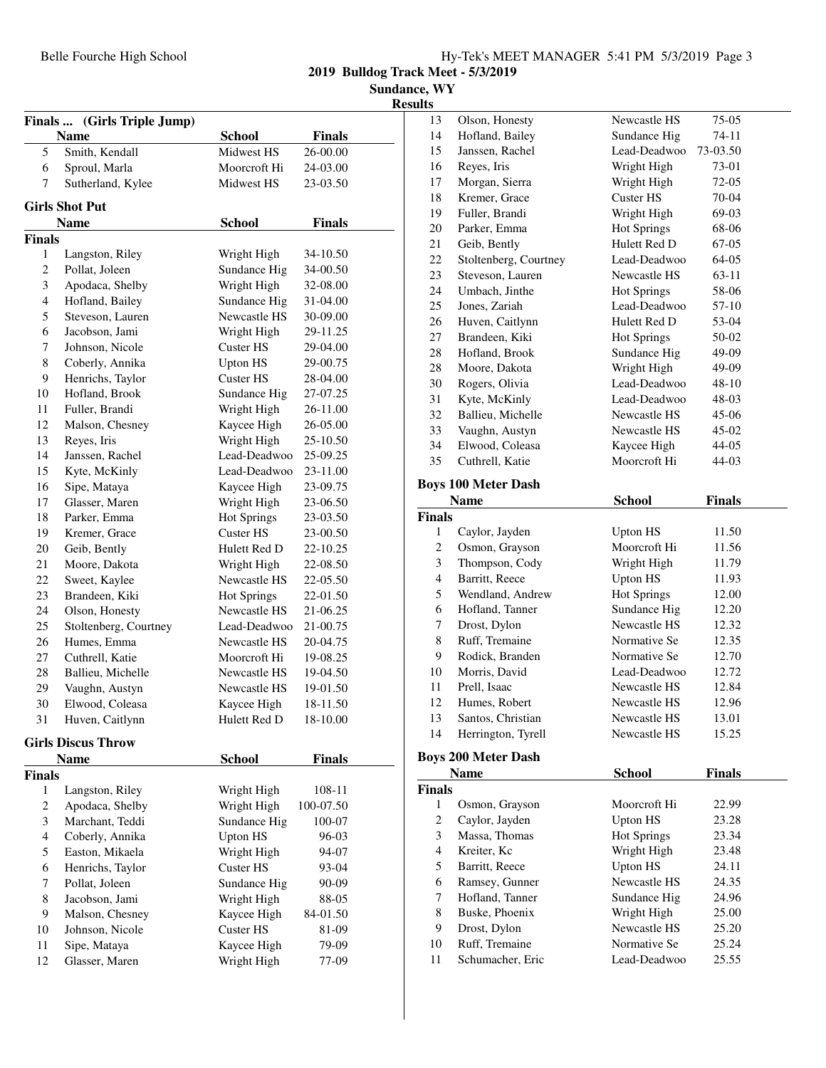| Hy-Tek's MEET MANAGER 5:41 PM 5/3/2019 Page 3 |  |  |  |
|-----------------------------------------------|--|--|--|
|-----------------------------------------------|--|--|--|

**Sundance, WY**

|                         |                                            |                    |               | R |
|-------------------------|--------------------------------------------|--------------------|---------------|---|
|                         | Finals  (Girls Triple Jump)<br><b>Name</b> | <b>School</b>      | <b>Finals</b> |   |
| 5                       | Smith, Kendall                             | Midwest HS         | 26-00.00      |   |
| 6                       | Sproul, Marla                              | Moorcroft Hi       | 24-03.00      |   |
| 7                       | Sutherland, Kylee                          | Midwest HS         | 23-03.50      |   |
|                         | <b>Girls Shot Put</b>                      |                    |               |   |
|                         | Name                                       | <b>School</b>      | <b>Finals</b> |   |
| Finals                  |                                            |                    |               |   |
| 1                       | Langston, Riley                            | Wright High        | 34-10.50      |   |
| $\mathbf{2}$            | Pollat, Joleen                             | Sundance Hig       | 34-00.50      |   |
| 3                       | Apodaca, Shelby                            | Wright High        | 32-08.00      |   |
| $\overline{4}$          | Hofland, Bailey                            | Sundance Hig       | 31-04.00      |   |
| 5                       | Steveson, Lauren                           | Newcastle HS       | 30-09.00      |   |
| 6                       | Jacobson, Jami                             | Wright High        | 29-11.25      |   |
| 7                       | Johnson, Nicole                            | <b>Custer HS</b>   | 29-04.00      |   |
| 8                       | Coberly, Annika                            | Upton HS           | 29-00.75      |   |
| 9                       | Henrichs, Taylor                           | Custer HS          | 28-04.00      |   |
| 10                      | Hofland, Brook                             | Sundance Hig       | 27-07.25      |   |
| 11                      | Fuller, Brandi                             | Wright High        | 26-11.00      |   |
| 12                      | Malson, Chesney                            | Kaycee High        | 26-05.00      |   |
| 13                      | Reyes, Iris                                | Wright High        | 25-10.50      |   |
| 14                      | Janssen, Rachel                            | Lead-Deadwoo       | 25-09.25      |   |
| 15                      | Kyte, McKinly                              | Lead-Deadwoo       | 23-11.00      |   |
| 16                      | Sipe, Mataya                               | Kaycee High        | 23-09.75      |   |
| 17                      | Glasser, Maren                             | Wright High        | 23-06.50      |   |
| 18                      | Parker, Emma                               | <b>Hot Springs</b> | 23-03.50      |   |
| 19                      | Kremer, Grace                              | <b>Custer HS</b>   | 23-00.50      |   |
| 20                      | Geib, Bently                               | Hulett Red D       | 22-10.25      |   |
| 21                      | Moore, Dakota                              | Wright High        | 22-08.50      |   |
| 22                      | Sweet, Kaylee                              | Newcastle HS       | 22-05.50      |   |
| 23                      | Brandeen, Kiki                             | <b>Hot Springs</b> | 22-01.50      |   |
| 24                      | Olson, Honesty                             | Newcastle HS       | 21-06.25      |   |
| 25                      | Stoltenberg, Courtney                      | Lead-Deadwoo       | 21-00.75      |   |
| 26                      | Humes, Emma                                | Newcastle HS       | 20-04.75      |   |
| 27                      | Cuthrell, Katie                            | Moorcroft Hi       | 19-08.25      |   |
| 28                      | Ballieu, Michelle                          | Newcastle HS       | 19-04.50      |   |
| 29                      | Vaughn, Austyn                             | Newcastle HS       | 19-01.50      |   |
| 30                      | Elwood, Coleasa                            | Kaycee High        | 18-11.50      |   |
| 31                      | Huven, Caitlynn                            | Hulett Red D       | 18-10.00      |   |
|                         | <b>Girls Discus Throw</b>                  |                    |               |   |
|                         | Name                                       | <b>School</b>      | <b>Finals</b> |   |
| <b>Finals</b>           |                                            |                    |               |   |
| 1                       | Langston, Riley                            | Wright High        | 108-11        |   |
| $\overline{\mathbf{c}}$ | Apodaca, Shelby                            | Wright High        | 100-07.50     |   |
| 3                       | Marchant, Teddi                            | Sundance Hig       | 100-07        |   |
| $\overline{\mathbf{4}}$ | Coberly, Annika                            | <b>Upton HS</b>    | 96-03         |   |
| 5                       | Easton, Mikaela                            | Wright High        | 94-07         |   |
| 6                       | Henrichs, Taylor                           | <b>Custer HS</b>   | 93-04         |   |
| 7                       | Pollat, Joleen                             | Sundance Hig       | 90-09         |   |
| 8                       | Jacobson, Jami                             | Wright High        | 88-05         |   |
| 9                       | Malson, Chesney                            | Kaycee High        | 84-01.50      |   |
| 10                      | Johnson, Nicole                            | Custer HS          | 81-09         |   |
| 11                      | Sipe, Mataya                               | Kaycee High        | 79-09         |   |
| 12                      | Glasser, Maren                             | Wright High        | 77-09         |   |
|                         |                                            |                    |               |   |

| 13             | Olson, Honesty                           | Newcastle HS                 | 75-05          |  |
|----------------|------------------------------------------|------------------------------|----------------|--|
| 14             | Hofland, Bailey<br>Sundance Hig<br>74-11 |                              |                |  |
| 15             | Janssen, Rachel                          | Lead-Deadwoo                 | 73-03.50       |  |
| 16             | Reyes, Iris                              | Wright High                  | 73-01          |  |
| 17             | Morgan, Sierra                           | Wright High                  | 72-05          |  |
| 18             | Kremer, Grace                            | <b>Custer HS</b>             | 70-04          |  |
| 19             | Fuller, Brandi                           | Wright High                  | 69-03          |  |
| 20             | Parker, Emma                             | <b>Hot Springs</b>           | 68-06          |  |
| 21             | Geib, Bently                             | Hulett Red D                 | 67-05          |  |
| 22             | Stoltenberg, Courtney                    | Lead-Deadwoo                 | 64-05          |  |
| 23             | Steveson, Lauren                         | Newcastle HS                 | 63-11          |  |
| 24             | Umbach, Jinthe                           | <b>Hot Springs</b>           | 58-06          |  |
| 25             | Jones, Zariah                            | Lead-Deadwoo                 | 57-10          |  |
| 26             | Huven, Caitlynn                          | Hulett Red D                 | 53-04          |  |
| 27             | Brandeen, Kiki                           | <b>Hot Springs</b>           | 50-02          |  |
| 28             | Hofland, Brook                           | Sundance Hig                 | 49-09          |  |
| 28             | Moore, Dakota                            | Wright High                  | 49-09          |  |
| 30             | Rogers, Olivia                           | Lead-Deadwoo                 | 48-10          |  |
| 31             | Kyte, McKinly                            | Lead-Deadwoo                 | 48-03          |  |
| 32             | Ballieu, Michelle                        | Newcastle HS                 | 45-06          |  |
| 33             | Vaughn, Austyn                           | Newcastle HS                 | 45-02          |  |
| 34             | Elwood, Coleasa                          | Kaycee High                  | 44-05          |  |
| 35             | Cuthrell, Katie                          | Moorcroft Hi                 | 44-03          |  |
|                |                                          |                              |                |  |
|                | <b>Boys 100 Meter Dash</b>               |                              |                |  |
|                | <b>Name</b>                              | <b>School</b>                | <b>Finals</b>  |  |
| <b>Finals</b>  |                                          |                              |                |  |
| 1              | Caylor, Jayden                           | Upton HS                     | 11.50          |  |
|                |                                          |                              |                |  |
| 2              | Osmon, Grayson                           | Moorcroft Hi                 | 11.56          |  |
| 3              | Thompson, Cody                           | Wright High                  | 11.79          |  |
| 4              | Barritt, Reece                           | <b>Upton HS</b>              | 11.93          |  |
| 5              | Wendland, Andrew                         | <b>Hot Springs</b>           | 12.00          |  |
| 6              | Hofland, Tanner                          | Sundance Hig                 | 12.20          |  |
| 7              | Drost, Dylon                             | Newcastle HS                 | 12.32          |  |
| 8              | Ruff, Tremaine                           | Normative Se                 | 12.35          |  |
| 9              | Rodick, Branden                          | Normative Se                 | 12.70          |  |
| 10             | Morris, David                            | Lead-Deadwoo                 | 12.72          |  |
| 11             | Prell. Isaac                             | Newcastle HS                 | 12.84          |  |
| 12             | Humes, Robert                            | Newcastle HS                 | 12.96          |  |
| 13             | Santos, Christian                        | Newcastle HS                 | 13.01          |  |
| 14             | Herrington, Tyrell                       | Newcastle HS                 | 15.25          |  |
|                |                                          |                              |                |  |
|                | <b>Boys 200 Meter Dash</b>               |                              |                |  |
|                | <b>Name</b>                              | <b>School</b>                | <b>Finals</b>  |  |
| <b>Finals</b>  |                                          |                              |                |  |
| 1              | Osmon, Grayson                           | Moorcroft Hi                 | 22.99          |  |
| 2              | Caylor, Jayden                           | <b>Upton HS</b>              | 23.28          |  |
| 3              | Massa, Thomas                            | <b>Hot Springs</b>           | 23.34          |  |
| $\overline{4}$ | Kreiter, Kc                              | Wright High                  | 23.48          |  |
| 5              | Barritt, Reece                           | <b>Upton HS</b>              | 24.11          |  |
| 6              | Ramsey, Gunner                           | Newcastle HS                 | 24.35          |  |
| 7              | Hofland, Tanner                          | Sundance Hig                 | 24.96          |  |
| 8              | Buske, Phoenix                           | Wright High                  | 25.00          |  |
| 9              | Drost, Dylon                             | Newcastle HS                 | 25.20          |  |
| 10<br>11       | Ruff, Tremaine<br>Schumacher, Eric       | Normative Se<br>Lead-Deadwoo | 25.24<br>25.55 |  |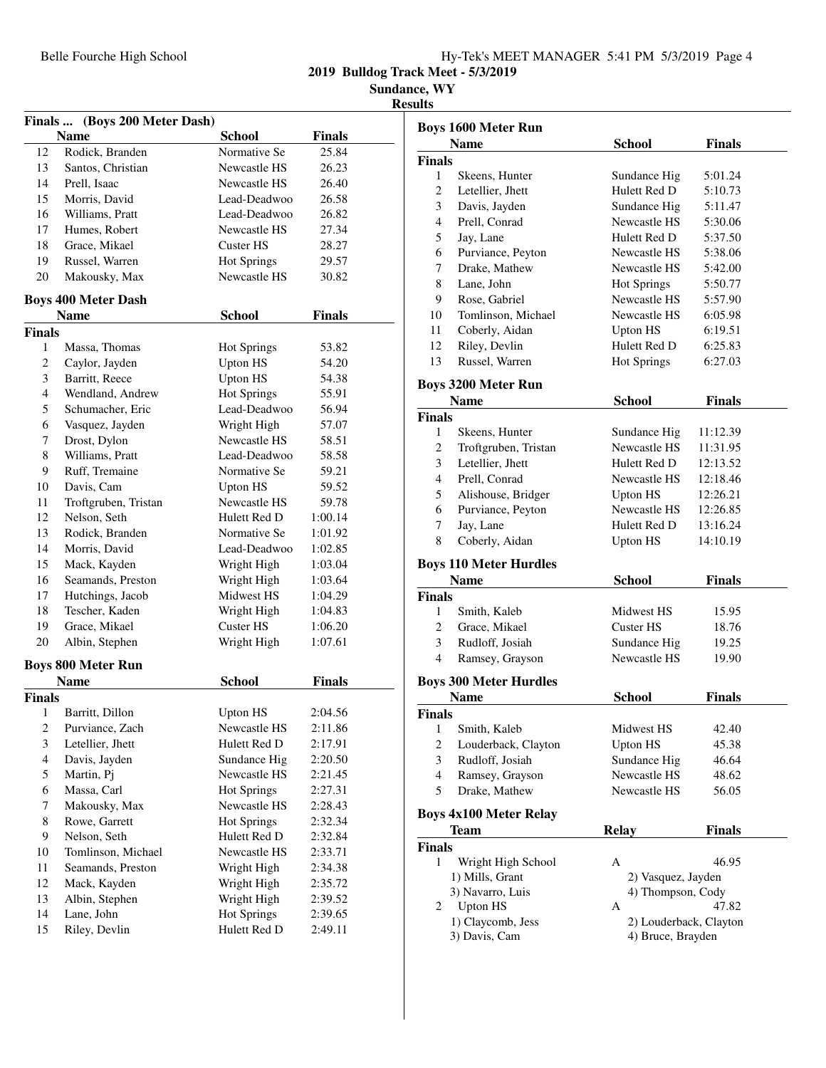| Hy-Tek's MEET MANAGER 5:41 PM 5/3/2019 Page 4 |  |  |  |
|-----------------------------------------------|--|--|--|
|                                               |  |  |  |

**2019 Bulldog Track Meet - 5/3/2019**

**Sundance, WY**

|               | Finals  (Boys 200 Meter Dash)      |                           |                    |
|---------------|------------------------------------|---------------------------|--------------------|
|               | <b>Name</b>                        | <b>School</b>             | <b>Finals</b>      |
| 12            | Rodick, Branden                    | Normative Se              | 25.84              |
| 13            | Santos, Christian                  | Newcastle HS              | 26.23              |
| 14            | Prell, Isaac                       | Newcastle HS              | 26.40              |
| 15            | Morris, David                      | Lead-Deadwoo              | 26.58              |
| 16            | Williams, Pratt                    | Lead-Deadwoo              | 26.82              |
| 17            | Humes, Robert                      | Newcastle HS              | 27.34              |
| 18            | Grace, Mikael                      | Custer HS                 | 28.27              |
| 19            | Russel, Warren                     | <b>Hot Springs</b>        | 29.57              |
| 20            | Makousky, Max                      | Newcastle HS              | 30.82              |
|               | <b>Boys 400 Meter Dash</b>         |                           |                    |
|               | <b>Name</b>                        | <b>School</b>             | Finals             |
| <b>Finals</b> |                                    |                           |                    |
| 1             | Massa, Thomas                      | <b>Hot Springs</b>        | 53.82              |
| 2             | Caylor, Jayden                     | <b>Upton HS</b>           | 54.20              |
| 3             | Barritt, Reece                     | <b>Upton HS</b>           | 54.38              |
| 4             | Wendland, Andrew                   | <b>Hot Springs</b>        | 55.91              |
| 5             | Schumacher, Eric                   | Lead-Deadwoo              | 56.94              |
| 6             | Vasquez, Jayden                    | Wright High               | 57.07              |
| 7             | Drost, Dylon                       | Newcastle HS              | 58.51              |
| 8             | Williams, Pratt                    | Lead-Deadwoo              | 58.58              |
| 9             | Ruff, Tremaine                     | Normative Se              | 59.21              |
| 10            | Davis, Cam                         | <b>Upton HS</b>           | 59.52              |
| 11            | Troftgruben, Tristan               | Newcastle HS              | 59.78              |
| 12            | Nelson, Seth                       | Hulett Red D              | 1:00.14            |
| 13            | Rodick, Branden                    | Normative Se              | 1:01.92            |
| 14            | Morris, David                      | Lead-Deadwoo              | 1:02.85            |
| 15            | Mack, Kayden                       | Wright High               | 1:03.04            |
|               |                                    |                           |                    |
| 16            | Seamands, Preston                  | Wright High<br>Midwest HS | 1:03.64            |
| 17            | Hutchings, Jacob<br>Tescher, Kaden |                           | 1:04.29            |
| 18            | Grace, Mikael                      | Wright High<br>Custer HS  | 1:04.83            |
| 19<br>20      | Albin, Stephen                     |                           | 1:06.20<br>1:07.61 |
|               |                                    | Wright High               |                    |
|               | <b>Boys 800 Meter Run</b>          |                           |                    |
|               | <b>Name</b>                        | <b>School</b>             | <b>Finals</b>      |
| <b>Finals</b> |                                    |                           |                    |
| 1             | Barritt, Dillon                    | <b>Upton HS</b>           | 2:04.56            |
| 2             | Purviance, Zach                    | Newcastle HS              | 2:11.86            |
| 3             | Letellier, Jhett                   | Hulett Red D              | 2:17.91            |
| 4             | Davis, Jayden                      | Sundance Hig              | 2:20.50            |
| 5             | Martin, Pj                         | Newcastle HS              | 2:21.45            |
| 6             | Massa, Carl                        | <b>Hot Springs</b>        | 2:27.31            |
| 7             | Makousky, Max                      | Newcastle HS              | 2:28.43            |
| 8             | Rowe, Garrett                      | <b>Hot Springs</b>        | 2:32.34            |
| 9             | Nelson, Seth                       | Hulett Red D              | 2:32.84            |
| 10            | Tomlinson, Michael                 | Newcastle HS              | 2:33.71            |
| 11            | Seamands, Preston                  | Wright High               | 2:34.38            |
| 12            | Mack, Kayden                       | Wright High               | 2:35.72            |
| 13            | Albin, Stephen                     | Wright High               | 2:39.52            |
| 14            | Lane, John                         | <b>Hot Springs</b>        | 2:39.65            |
| 15            | Riley, Devlin                      | Hulett Red D              | 2:49.11            |

|                | <b>Boys 1600 Meter Run</b>         |                                             |               |
|----------------|------------------------------------|---------------------------------------------|---------------|
|                | <b>Name</b>                        | <b>School</b>                               | Finals        |
| <b>Finals</b>  |                                    |                                             |               |
| 1              | Skeens, Hunter                     | Sundance Hig                                | 5:01.24       |
| 2              | Letellier, Jhett                   | Hulett Red D                                | 5:10.73       |
| 3              | Davis, Jayden                      | Sundance Hig                                | 5:11.47       |
| 4              | Prell, Conrad                      | Newcastle HS                                | 5:30.06       |
| 5              | Jay, Lane                          | Hulett Red D                                | 5:37.50       |
| 6              | Purviance, Peyton                  | Newcastle HS                                | 5:38.06       |
| 7              | Drake, Mathew                      | Newcastle HS                                | 5:42.00       |
| 8              | Lane, John                         | <b>Hot Springs</b>                          | 5:50.77       |
| 9              | Rose, Gabriel                      | Newcastle HS                                | 5:57.90       |
| 10             | Tomlinson, Michael                 | Newcastle HS                                | 6:05.98       |
| 11             | Coberly, Aidan                     | <b>Upton HS</b>                             | 6:19.51       |
| 12             | Riley, Devlin                      | Hulett Red D                                | 6:25.83       |
| 13             | Russel, Warren                     | <b>Hot Springs</b>                          | 6:27.03       |
|                |                                    |                                             |               |
|                | <b>Boys 3200 Meter Run</b>         |                                             |               |
|                | <b>Name</b>                        | <b>School</b>                               | <b>Finals</b> |
| <b>Finals</b>  |                                    |                                             |               |
| 1              | Skeens, Hunter                     | Sundance Hig                                | 11:12.39      |
| 2              | Troftgruben, Tristan               | Newcastle HS                                | 11:31.95      |
| 3              | Letellier, Jhett                   | Hulett Red D                                | 12:13.52      |
| $\overline{4}$ | Prell, Conrad                      | Newcastle HS                                | 12:18.46      |
| 5              | Alishouse, Bridger                 | <b>Upton HS</b>                             | 12:26.21      |
| 6              | Purviance, Peyton                  | Newcastle HS                                | 12:26.85      |
| 7              | Jay, Lane                          | Hulett Red D                                | 13:16.24      |
| 8              | Coberly, Aidan                     | <b>Upton HS</b>                             | 14:10.19      |
|                | <b>Boys 110 Meter Hurdles</b>      |                                             |               |
|                | <b>Name</b>                        | <b>School</b>                               | <b>Finals</b> |
| <b>Finals</b>  |                                    |                                             |               |
| 1              | Smith, Kaleb                       | Midwest HS                                  | 15.95         |
| $\overline{c}$ | Grace, Mikael                      | Custer HS                                   | 18.76         |
| 3              | Rudloff, Josiah                    | Sundance Hig                                | 19.25         |
| 4              | Ramsey, Grayson                    | Newcastle HS                                | 19.90         |
|                | <b>Boys 300 Meter Hurdles</b>      |                                             |               |
|                | <b>Name</b>                        | <b>School</b>                               | Finals        |
| <b>Finals</b>  |                                    |                                             |               |
| $\mathbf{1}$   | Smith, Kaleb                       | Midwest HS                                  | 42.40         |
| 2              | Louderback, Clayton                | Upton HS                                    | 45.38         |
| 3              | Rudloff, Josiah                    | Sundance Hig                                | 46.64         |
| $\overline{4}$ | Ramsey, Grayson                    | Newcastle HS                                | 48.62         |
|                | Drake, Mathew                      | Newcastle HS                                | 56.05         |
|                |                                    |                                             |               |
| 5              |                                    |                                             |               |
|                | <b>Boys 4x100 Meter Relay</b>      |                                             |               |
|                | Team                               | <b>Relay</b>                                | <b>Finals</b> |
|                |                                    |                                             |               |
| 1              | Wright High School                 | А                                           | 46.95         |
|                | 1) Mills, Grant                    | 2) Vasquez, Jayden                          |               |
|                | 3) Navarro, Luis                   | 4) Thompson, Cody                           |               |
| 2              | <b>Upton HS</b>                    | А                                           | 47.82         |
| <b>Finals</b>  | 1) Claycomb, Jess<br>3) Davis, Cam | 2) Louderback, Clayton<br>4) Bruce, Brayden |               |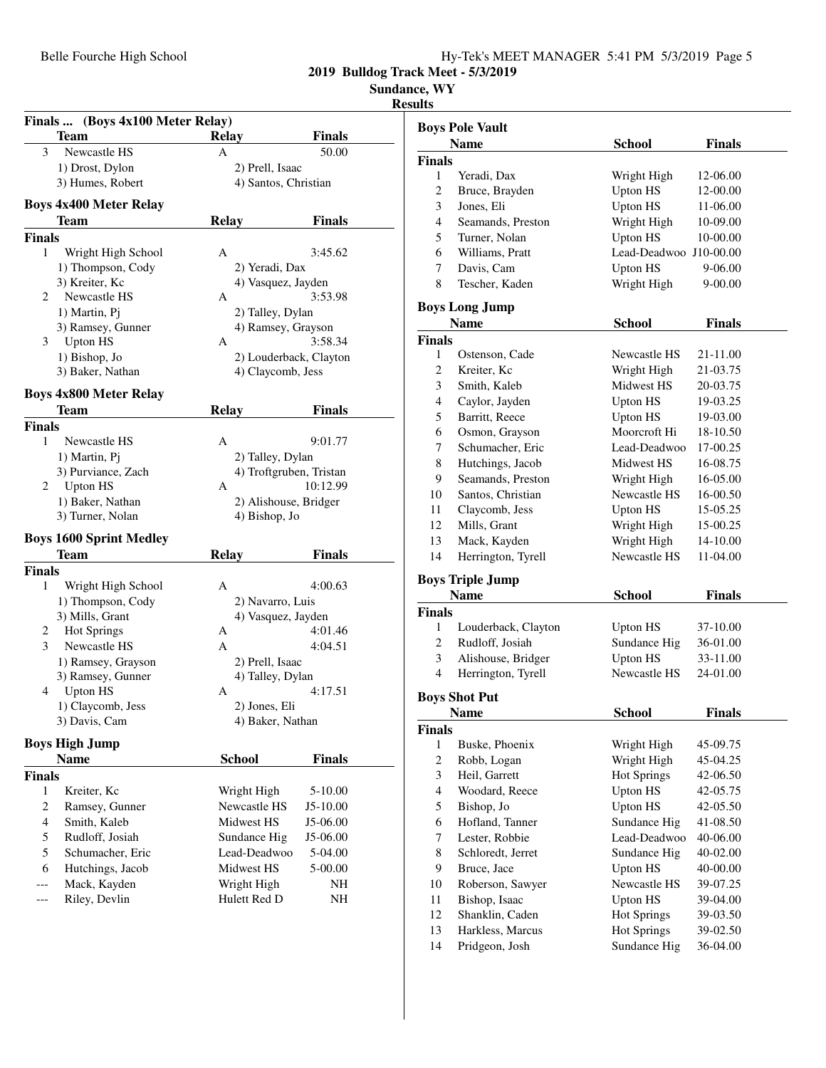| Hy-Tek's MEET MANAGER 5:41 PM 5/3/2019 Page 5 |
|-----------------------------------------------|
|-----------------------------------------------|

**Sundance, WY**

|                    | <b>Team</b>                           | <b>Relay</b>                | Finals                  |
|--------------------|---------------------------------------|-----------------------------|-------------------------|
| 3                  | Newcastle HS                          | A                           | 50.00                   |
|                    | 1) Drost, Dylon                       | 2) Prell, Isaac             |                         |
|                    | 3) Humes, Robert                      |                             | 4) Santos, Christian    |
|                    |                                       |                             |                         |
|                    | <b>Boys 4x400 Meter Relay</b>         |                             |                         |
|                    | <b>Team</b>                           | <b>Relay</b>                | Finals                  |
| <b>Finals</b>      |                                       |                             |                         |
| 1                  | Wright High School                    | A                           | 3:45.62                 |
|                    | 1) Thompson, Cody                     | 2) Yeradi, Dax              |                         |
|                    | 3) Kreiter, Kc                        |                             | 4) Vasquez, Jayden      |
| 2                  | Newcastle HS                          | А                           | 3:53.98                 |
|                    | 1) Martin, Pj                         | 2) Talley, Dylan            |                         |
|                    | 3) Ramsey, Gunner                     |                             | 4) Ramsey, Grayson      |
| 3                  | <b>Upton HS</b>                       | А                           | 3:58.34                 |
|                    | 1) Bishop, Jo                         |                             | 2) Louderback, Clayton  |
|                    | 3) Baker, Nathan                      |                             | 4) Claycomb, Jess       |
|                    |                                       |                             |                         |
|                    | <b>Boys 4x800 Meter Relay</b><br>Team | <b>Relay</b>                | Finals                  |
|                    |                                       |                             |                         |
| <b>Finals</b><br>1 | Newcastle HS                          | А                           | 9:01.77                 |
|                    |                                       |                             |                         |
|                    | 1) Martin, Pj                         | 2) Talley, Dylan            |                         |
|                    | 3) Purviance, Zach                    |                             | 4) Troftgruben, Tristan |
| 2                  | <b>Upton HS</b>                       | А                           | 10:12.99                |
|                    | 1) Baker, Nathan                      |                             | 2) Alishouse, Bridger   |
|                    | 3) Turner, Nolan                      | 4) Bishop, Jo               |                         |
|                    | <b>Boys 1600 Sprint Medley</b>        |                             |                         |
|                    | <b>Team</b>                           | <b>Relay</b>                | <b>Finals</b>           |
| <b>Finals</b>      |                                       |                             |                         |
| 1                  | Wright High School                    | А                           | 4:00.63                 |
|                    | 1) Thompson, Cody                     | 2) Navarro, Luis            |                         |
|                    | 3) Mills, Grant                       |                             | 4) Vasquez, Jayden      |
| 2                  | Hot Springs                           | А                           | 4:01.46                 |
| 3                  | Newcastle HS                          | A                           | 4:04.51                 |
|                    | 1) Ramsey, Grayson                    | 2) Prell, Isaac             |                         |
|                    | 3) Ramsey, Gunner                     | 4) Talley, Dylan            |                         |
| 4                  | <b>Upton HS</b>                       | А                           | 4:17.51                 |
|                    | 1) Claycomb, Jess                     | 2) Jones, Eli               |                         |
|                    | 3) Davis, Cam                         | 4) Baker, Nathan            |                         |
|                    |                                       |                             |                         |
|                    | <b>Boys High Jump</b>                 |                             |                         |
|                    | Name                                  | <b>School</b>               | <b>Finals</b>           |
| <b>Finals</b>      |                                       |                             |                         |
| 1                  | Kreiter, Kc                           | Wright High                 | 5-10.00                 |
| 2                  | Ramsey, Gunner                        | Newcastle HS                | $J5-10.00$              |
| 4                  | Smith, Kaleb                          | Midwest HS                  | J5-06.00                |
| 5                  | Rudloff, Josiah                       | Sundance Hig                | J5-06.00                |
| 5                  | Schumacher, Eric                      | Lead-Deadwoo                | 5-04.00                 |
| 6                  | Hutchings, Jacob                      | Midwest HS                  | 5-00.00                 |
|                    |                                       |                             |                         |
|                    |                                       |                             |                         |
| ---                | Mack, Kayden<br>Riley, Devlin         | Wright High<br>Hulett Red D | NH<br>NΗ                |

|                             | <b>Boys Pole Vault</b> |                                 |               |  |
|-----------------------------|------------------------|---------------------------------|---------------|--|
|                             | <b>Name</b>            | <b>School</b>                   | <b>Finals</b> |  |
| Finals                      |                        |                                 |               |  |
| 1                           | Yeradi, Dax            | Wright High                     | 12-06.00      |  |
| $\overline{c}$              | Bruce, Brayden         | <b>Upton HS</b>                 | 12-00.00      |  |
| 3                           | Jones, Eli             | <b>Upton HS</b>                 | 11-06.00      |  |
| $\overline{4}$              | Seamands, Preston      | Wright High                     | 10-09.00      |  |
| 5                           | Turner, Nolan          | <b>Upton HS</b>                 | 10-00.00      |  |
| 6                           | Williams, Pratt        | Lead-Deadwoo J10-00.00          |               |  |
| 7                           | Davis, Cam             | <b>Upton HS</b>                 | 9-06.00       |  |
| 8                           | Tescher, Kaden         | Wright High                     | 9-00.00       |  |
|                             | <b>Boys Long Jump</b>  |                                 |               |  |
|                             | <b>Name</b>            | School                          | Finals        |  |
|                             |                        |                                 |               |  |
| Finals<br>1                 | Ostenson, Cade         | Newcastle HS                    | 21-11.00      |  |
| 2                           |                        | Wright High                     |               |  |
|                             | Kreiter, Kc            | Midwest HS                      | 21-03.75      |  |
| $\ensuremath{\mathfrak{Z}}$ | Smith, Kaleb           |                                 | 20-03.75      |  |
| $\overline{4}$              | Caylor, Jayden         | <b>Upton HS</b>                 | 19-03.25      |  |
| 5                           | Barritt, Reece         | <b>Upton HS</b>                 | 19-03.00      |  |
| 6                           | Osmon, Grayson         | Moorcroft Hi                    | 18-10.50      |  |
| 7                           | Schumacher, Eric       | Lead-Deadwoo                    | 17-00.25      |  |
| 8                           | Hutchings, Jacob       | Midwest HS                      | 16-08.75      |  |
| 9                           | Seamands, Preston      | Wright High                     | 16-05.00      |  |
| 10                          | Santos, Christian      | Newcastle HS                    | 16-00.50      |  |
| 11                          | Claycomb, Jess         | <b>Upton HS</b>                 | 15-05.25      |  |
| 12                          | Mills, Grant           | Wright High                     | 15-00.25      |  |
| 13                          | Mack, Kayden           | Wright High                     | 14-10.00      |  |
| 14                          | Herrington, Tyrell     | Newcastle HS                    | 11-04.00      |  |
|                             | Boys Triple Jump       |                                 |               |  |
|                             | <b>Name</b>            | School                          | Finals        |  |
| Finals                      |                        |                                 |               |  |
| 1                           | Louderback, Clayton    | <b>Upton HS</b>                 | 37-10.00      |  |
| 2                           | Rudloff, Josiah        | Sundance Hig                    | 36-01.00      |  |
| 3                           | Alishouse, Bridger     | <b>Upton HS</b>                 | 33-11.00      |  |
| $\overline{4}$              | Herrington, Tyrell     | Newcastle HS                    | 24-01.00      |  |
|                             | <b>Boys Shot Put</b>   |                                 |               |  |
|                             | <b>Name</b>            | School                          | Finals        |  |
| <b>Finals</b>               |                        |                                 |               |  |
| 1                           | Buske, Phoenix         | Wright High                     | 45-09.75      |  |
| $\overline{c}$              | Robb, Logan            | Wright High                     | 45-04.25      |  |
| 3                           | Heil, Garrett          | <b>Hot Springs</b>              | 42-06.50      |  |
| $\overline{4}$              | Woodard, Reece         | <b>Upton HS</b>                 | 42-05.75      |  |
| 5                           | Bishop, Jo             | <b>Upton HS</b>                 | 42-05.50      |  |
| 6                           | Hofland, Tanner        | Sundance Hig                    | 41-08.50      |  |
| 7                           | Lester, Robbie         | Lead-Deadwoo                    | 40-06.00      |  |
| 8                           | Schloredt, Jerret      | Sundance Hig                    | 40-02.00      |  |
| 9                           |                        |                                 |               |  |
| 10                          | Bruce, Jace            | <b>Upton HS</b><br>Newcastle HS | 40-00.00      |  |
|                             | Roberson, Sawyer       |                                 | 39-07.25      |  |
| 11                          | Bishop, Isaac          | <b>Upton HS</b>                 | 39-04.00      |  |
| 12                          | Shanklin, Caden        | <b>Hot Springs</b>              | 39-03.50      |  |
| 13                          | Harkless, Marcus       | <b>Hot Springs</b>              | 39-02.50      |  |
| 14                          | Pridgeon, Josh         | Sundance Hig                    | 36-04.00      |  |